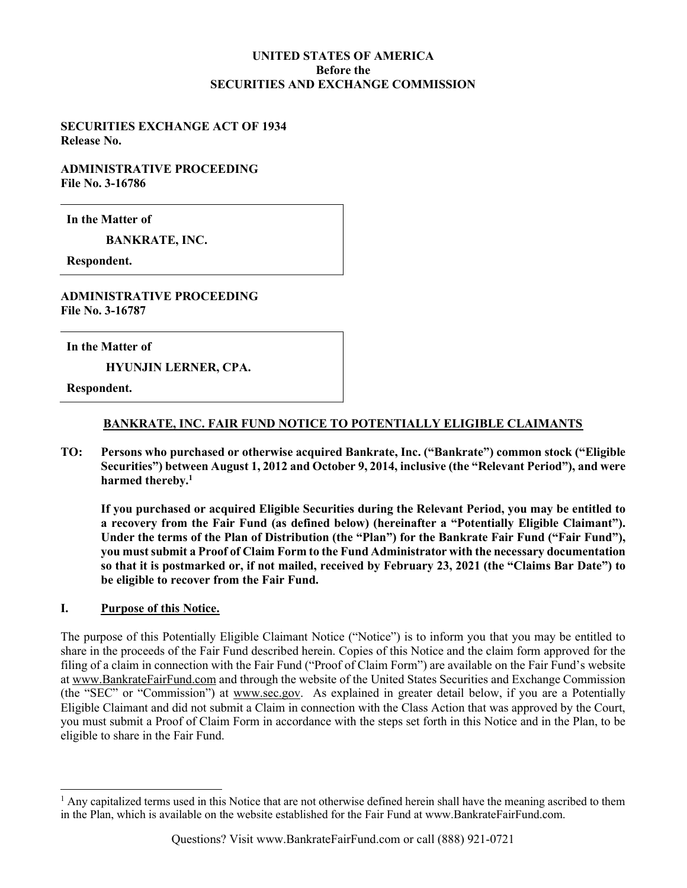# UNITED STATES OF AMERICA Before the SECURITIES AND EXCHANGE COMMISSION

SECURITIES EXCHANGE ACT OF 1934 Release No.

ADMINISTRATIVE PROCEEDING File No. 3-16786

In the Matter of

BANKRATE, INC.

Respondent.

ADMINISTRATIVE PROCEEDING File No. 3-16787

In the Matter of

HYUNJIN LERNER, CPA.

Respondent.

#### BANKRATE, INC. FAIR FUND NOTICE TO POTENTIALLY ELIGIBLE CLAIMANTS

TO: Persons who purchased or otherwise acquired Bankrate, Inc. ("Bankrate") common stock ("Eligible Securities") between August 1, 2012 and October 9, 2014, inclusive (the "Relevant Period"), and were harmed thereby.<sup>1</sup>

If you purchased or acquired Eligible Securities during the Relevant Period, you may be entitled to a recovery from the Fair Fund (as defined below) (hereinafter a "Potentially Eligible Claimant"). Under the terms of the Plan of Distribution (the "Plan") for the Bankrate Fair Fund ("Fair Fund"), you must submit a Proof of Claim Form to the Fund Administrator with the necessary documentation so that it is postmarked or, if not mailed, received by February 23, 2021 (the "Claims Bar Date") to be eligible to recover from the Fair Fund.

#### I. Purpose of this Notice.

The purpose of this Potentially Eligible Claimant Notice ("Notice") is to inform you that you may be entitled to share in the proceeds of the Fair Fund described herein. Copies of this Notice and the claim form approved for the filing of a claim in connection with the Fair Fund ("Proof of Claim Form") are available on the Fair Fund's website at www.BankrateFairFund.com and through the website of the United States Securities and Exchange Commission (the "SEC" or "Commission") at www.sec.gov. As explained in greater detail below, if you are a Potentially Eligible Claimant and did not submit a Claim in connection with the Class Action that was approved by the Court, you must submit a Proof of Claim Form in accordance with the steps set forth in this Notice and in the Plan, to be eligible to share in the Fair Fund.

<sup>&</sup>lt;sup>1</sup> Any capitalized terms used in this Notice that are not otherwise defined herein shall have the meaning ascribed to them in the Plan, which is available on the website established for the Fair Fund at www.BankrateFairFund.com.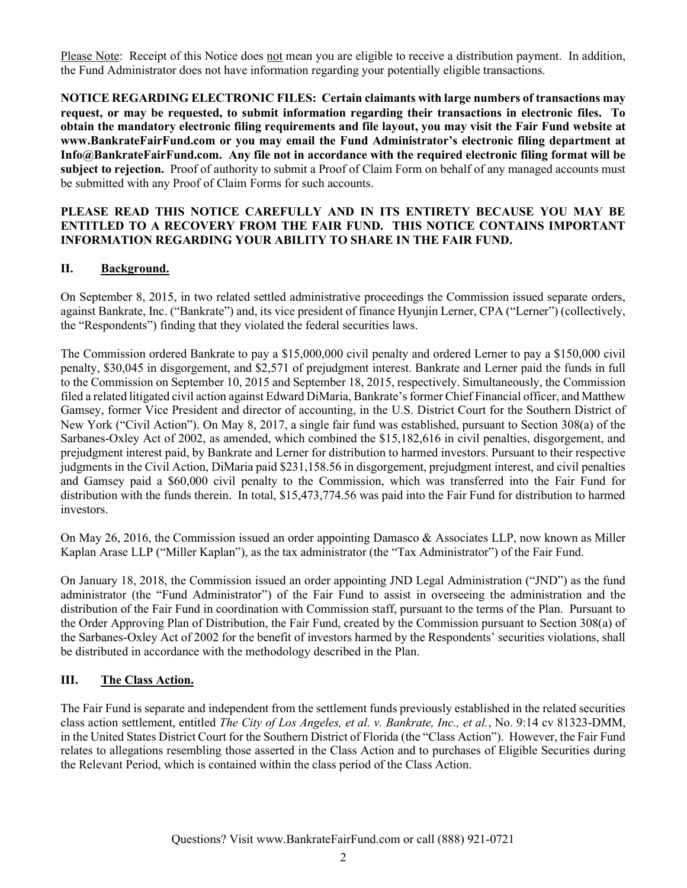Please Note: Receipt of this Notice does not mean you are eligible to receive a distribution payment. In addition, the Fund Administrator does not have information regarding your potentially eligible transactions.

NOTICE REGARDING ELECTRONIC FILES: Certain claimants with large numbers of transactions may request, or may be requested, to submit information regarding their transactions in electronic files. To obtain the mandatory electronic filing requirements and file layout, you may visit the Fair Fund website at www.BankrateFairFund.com or you may email the Fund Administrator's electronic filing department at Info@BankrateFairFund.com. Any file not in accordance with the required electronic filing format will be subject to rejection. Proof of authority to submit a Proof of Claim Form on behalf of any managed accounts must be submitted with any Proof of Claim Forms for such accounts.

#### PLEASE READ THIS NOTICE CAREFULLY AND IN ITS ENTIRETY BECAUSE YOU MAY BE ENTITLED TO A RECOVERY FROM THE FAIR FUND. THIS NOTICE CONTAINS IMPORTANT INFORMATION REGARDING YOUR ABILITY TO SHARE IN THE FAIR FUND.

# II. Background.

On September 8, 2015, in two related settled administrative proceedings the Commission issued separate orders, against Bankrate, Inc. ("Bankrate") and, its vice president of finance Hyunjin Lerner, CPA ("Lerner") (collectively, the "Respondents") finding that they violated the federal securities laws.

The Commission ordered Bankrate to pay a \$15,000,000 civil penalty and ordered Lerner to pay a \$150,000 civil penalty, \$30,045 in disgorgement, and \$2,571 of prejudgment interest. Bankrate and Lerner paid the funds in full to the Commission on September 10, 2015 and September 18, 2015, respectively. Simultaneously, the Commission filed a related litigated civil action against Edward DiMaria, Bankrate's former Chief Financial officer, and Matthew Gamsey, former Vice President and director of accounting, in the U.S. District Court for the Southern District of New York ("Civil Action"). On May 8, 2017, a single fair fund was established, pursuant to Section 308(a) of the Sarbanes-Oxley Act of 2002, as amended, which combined the \$15,182,616 in civil penalties, disgorgement, and prejudgment interest paid, by Bankrate and Lerner for distribution to harmed investors. Pursuant to their respective judgments in the Civil Action, DiMaria paid \$231,158.56 in disgorgement, prejudgment interest, and civil penalties and Gamsey paid a \$60,000 civil penalty to the Commission, which was transferred into the Fair Fund for distribution with the funds therein. In total, \$15,473,774.56 was paid into the Fair Fund for distribution to harmed investors.

On May 26, 2016, the Commission issued an order appointing Damasco & Associates LLP, now known as Miller Kaplan Arase LLP ("Miller Kaplan"), as the tax administrator (the "Tax Administrator") of the Fair Fund.

On January 18, 2018, the Commission issued an order appointing JND Legal Administration ("JND") as the fund administrator (the "Fund Administrator") of the Fair Fund to assist in overseeing the administration and the distribution of the Fair Fund in coordination with Commission staff, pursuant to the terms of the Plan. Pursuant to the Order Approving Plan of Distribution, the Fair Fund, created by the Commission pursuant to Section 308(a) of the Sarbanes-Oxley Act of 2002 for the benefit of investors harmed by the Respondents' securities violations, shall be distributed in accordance with the methodology described in the Plan.

#### III. The Class Action.

The Fair Fund is separate and independent from the settlement funds previously established in the related securities class action settlement, entitled The City of Los Angeles, et al. v. Bankrate, Inc., et al., No. 9:14 cv 81323-DMM, in the United States District Court for the Southern District of Florida (the "Class Action"). However, the Fair Fund relates to allegations resembling those asserted in the Class Action and to purchases of Eligible Securities during the Relevant Period, which is contained within the class period of the Class Action.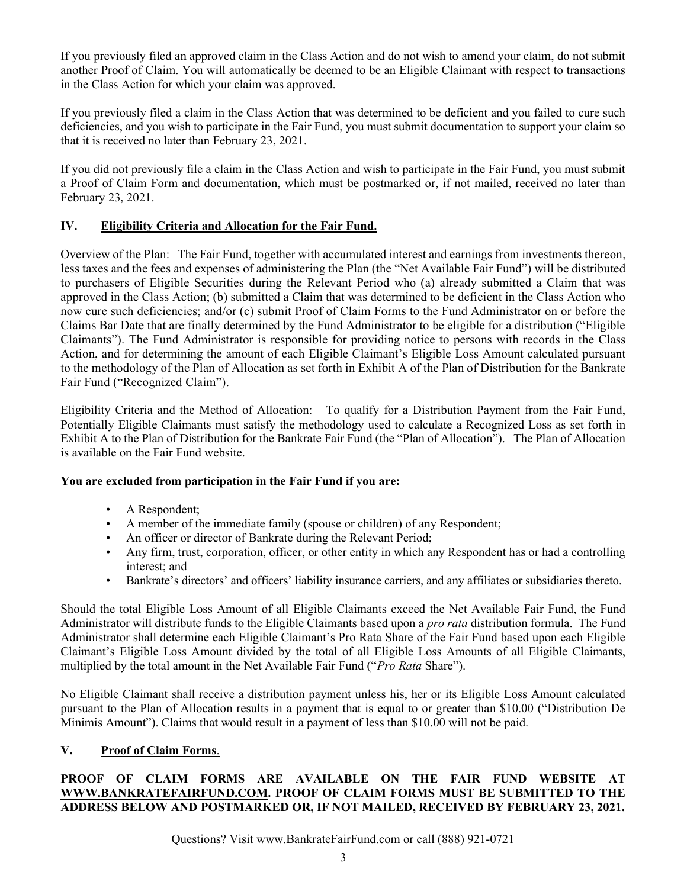If you previously filed an approved claim in the Class Action and do not wish to amend your claim, do not submit another Proof of Claim. You will automatically be deemed to be an Eligible Claimant with respect to transactions in the Class Action for which your claim was approved.

If you previously filed a claim in the Class Action that was determined to be deficient and you failed to cure such deficiencies, and you wish to participate in the Fair Fund, you must submit documentation to support your claim so that it is received no later than February 23, 2021.

If you did not previously file a claim in the Class Action and wish to participate in the Fair Fund, you must submit a Proof of Claim Form and documentation, which must be postmarked or, if not mailed, received no later than February 23, 2021.

# IV. Eligibility Criteria and Allocation for the Fair Fund.

Overview of the Plan: The Fair Fund, together with accumulated interest and earnings from investments thereon, less taxes and the fees and expenses of administering the Plan (the "Net Available Fair Fund") will be distributed to purchasers of Eligible Securities during the Relevant Period who (a) already submitted a Claim that was approved in the Class Action; (b) submitted a Claim that was determined to be deficient in the Class Action who now cure such deficiencies; and/or (c) submit Proof of Claim Forms to the Fund Administrator on or before the Claims Bar Date that are finally determined by the Fund Administrator to be eligible for a distribution ("Eligible Claimants"). The Fund Administrator is responsible for providing notice to persons with records in the Class Action, and for determining the amount of each Eligible Claimant's Eligible Loss Amount calculated pursuant to the methodology of the Plan of Allocation as set forth in Exhibit A of the Plan of Distribution for the Bankrate Fair Fund ("Recognized Claim").

Eligibility Criteria and the Method of Allocation: To qualify for a Distribution Payment from the Fair Fund, Potentially Eligible Claimants must satisfy the methodology used to calculate a Recognized Loss as set forth in Exhibit A to the Plan of Distribution for the Bankrate Fair Fund (the "Plan of Allocation"). The Plan of Allocation is available on the Fair Fund website.

# You are excluded from participation in the Fair Fund if you are:

- A Respondent;
- A member of the immediate family (spouse or children) of any Respondent;
- An officer or director of Bankrate during the Relevant Period;
- Any firm, trust, corporation, officer, or other entity in which any Respondent has or had a controlling interest; and
- Bankrate's directors' and officers' liability insurance carriers, and any affiliates or subsidiaries thereto.

Should the total Eligible Loss Amount of all Eligible Claimants exceed the Net Available Fair Fund, the Fund Administrator will distribute funds to the Eligible Claimants based upon a pro rata distribution formula. The Fund Administrator shall determine each Eligible Claimant's Pro Rata Share of the Fair Fund based upon each Eligible Claimant's Eligible Loss Amount divided by the total of all Eligible Loss Amounts of all Eligible Claimants, multiplied by the total amount in the Net Available Fair Fund ("Pro Rata Share").

No Eligible Claimant shall receive a distribution payment unless his, her or its Eligible Loss Amount calculated pursuant to the Plan of Allocation results in a payment that is equal to or greater than \$10.00 ("Distribution De Minimis Amount"). Claims that would result in a payment of less than \$10.00 will not be paid.

# V. Proof of Claim Forms.

# PROOF OF CLAIM FORMS ARE AVAILABLE ON THE FAIR FUND WEBSITE AT WWW.BANKRATEFAIRFUND.COM. PROOF OF CLAIM FORMS MUST BE SUBMITTED TO THE ADDRESS BELOW AND POSTMARKED OR, IF NOT MAILED, RECEIVED BY FEBRUARY 23, 2021.